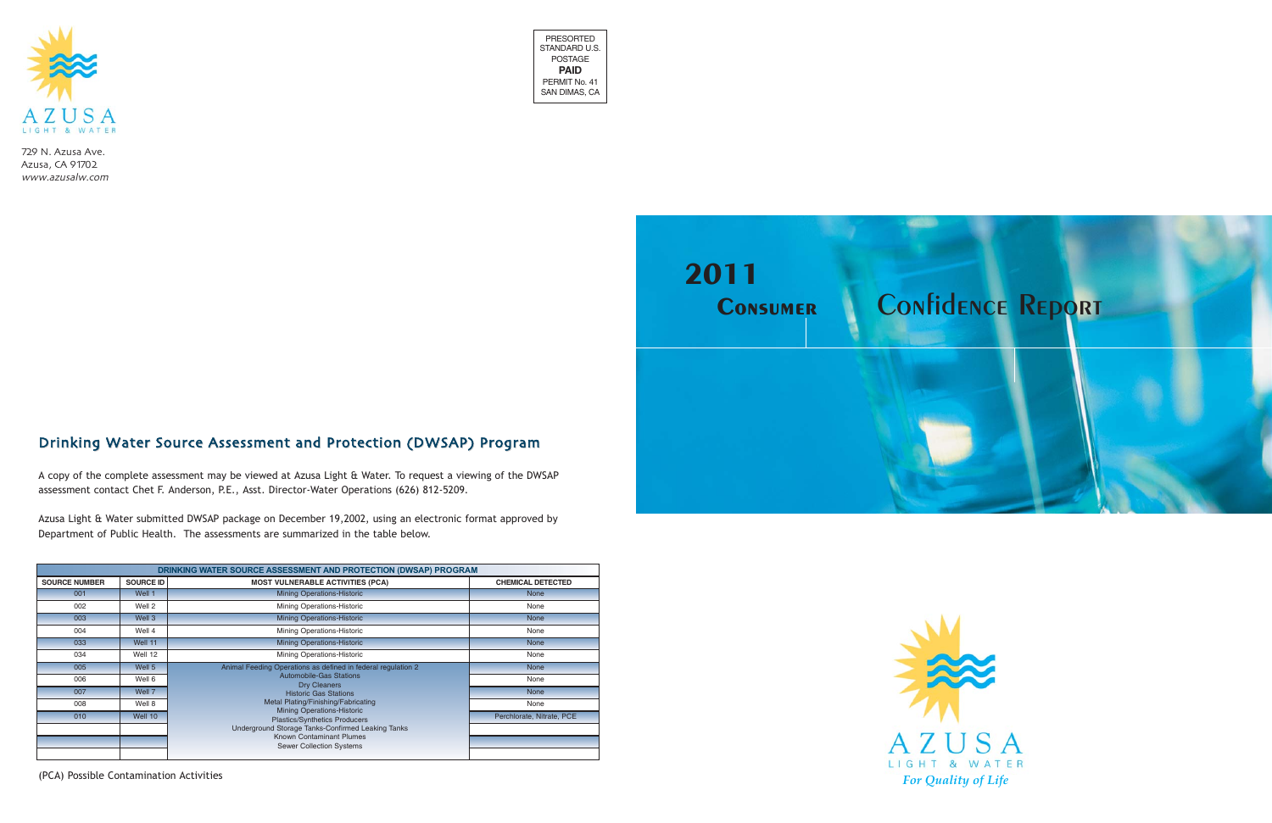



729 N. Azusa Ave. Azusa, CA 91702 www.azusalw.com



|                      |                  | DRINKING WATER SOURCE ASSESSMENT AND PROTECTION (DWSAP) PROGRAM           |                           |
|----------------------|------------------|---------------------------------------------------------------------------|---------------------------|
| <b>SOURCE NUMBER</b> | <b>SOURCE ID</b> | <b>MOST VULNERABLE ACTIVITIES (PCA)</b>                                   | <b>CHEMICAL DETECTED</b>  |
| 001                  | Well 1           | <b>Mining Operations-Historic</b>                                         | <b>None</b>               |
| 002                  | Well 2           | Mining Operations-Historic                                                | None                      |
| 003                  | Well 3           | <b>Mining Operations-Historic</b>                                         | <b>None</b>               |
| 004                  | Well 4           | Mining Operations-Historic                                                | None                      |
| 033                  | Well 11          | <b>Mining Operations-Historic</b>                                         | <b>None</b>               |
| 034                  | Well 12          | Mining Operations-Historic                                                | None                      |
| 005                  | Well 5           | Animal Feeding Operations as defined in federal regulation 2              | <b>None</b>               |
| 006                  | Well 6           | <b>Automobile-Gas Stations</b><br><b>Dry Cleaners</b>                     | None                      |
| 007                  | Well 7           | <b>Historic Gas Stations</b>                                              | <b>None</b>               |
| 008                  | Well 8           | Metal Plating/Finishing/Fabricating                                       | None                      |
| 010                  | Well 10          | <b>Mining Operations-Historic</b><br><b>Plastics/Synthetics Producers</b> | Perchlorate, Nitrate, PCE |
|                      |                  | Underground Storage Tanks-Confirmed Leaking Tanks                         |                           |
|                      |                  | <b>Known Contaminant Plumes</b><br><b>Sewer Collection Systems</b>        |                           |
|                      |                  |                                                                           |                           |

# Drinking Water Source Assessment and Protection (DWSAP) Program

A copy of the complete assessment may be viewed at Azusa Light & Water. To request a viewing of the DWSAP assessment contact Chet F. Anderson, P.E., Asst. Director-Water Operations (626) 812-5209.

Azusa Light & Water submitted DWSAP package on December 19,2002, using an electronic format approved by Department of Public Health. The assessments are summarized in the table below.

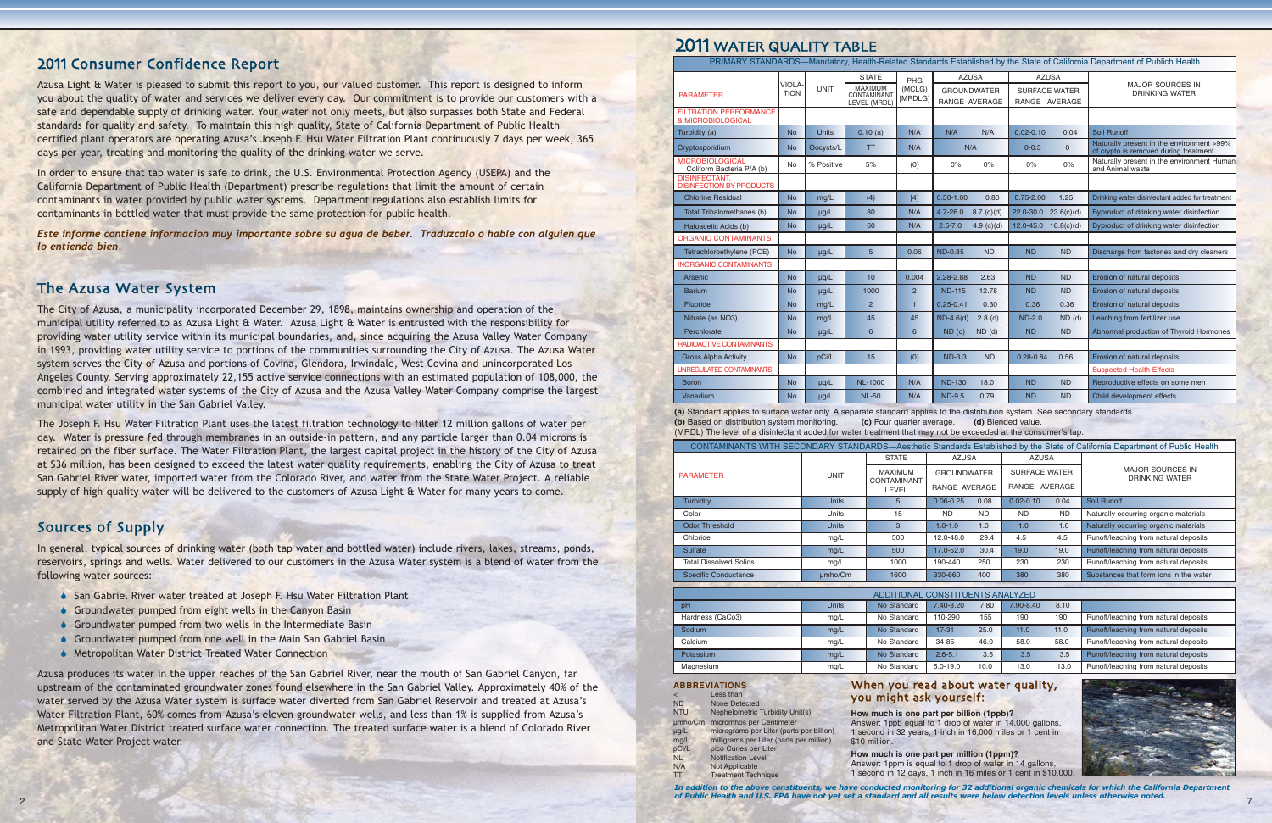### 2011 Consumer Confidence Report

Azusa Light & Water is pleased to submit this report to you, our valued customer. This report is designed to inform you about the quality of water and services we deliver every day. Our commitment is to provide our customers with a safe and dependable supply of drinking water. Your water not only meets, but also surpasses both State and Federal standards for quality and safety. To maintain this high quality, State of California Department of Public Health certified plant operators are operating Azusa's Joseph F. Hsu Water Filtration Plant continuously 7 days per week, 365 days per year, treating and monitoring the quality of the drinking water we serve.

In order to ensure that tap water is safe to drink, the U.S. Environmental Protection Agency (USEPA) and the California Department of Public Health (Department) prescribe regulations that limit the amount of certain contaminants in water provided by public water systems. Department regulations also establish limits for contaminants in bottled water that must provide the same protection for public health.

*Este informe contiene informacion muy importante sobre su agua de beber. Traduzcalo o hable con alguien que lo entienda bien.*

### The Azusa Water System

In general, typical sources of drinking water (both tap water and bottled water) include rivers, lakes, streams, ponds, reservoirs, springs and wells. Water delivered to our customers in the Azusa Water system is a blend of water from the following water sources:

- ◆ San Gabriel River water treated at Joseph F. Hsu Water Filtration Plant
- $\bullet$  Groundwater pumped from eight wells in the Canyon Basin
- $\bullet$  Groundwater pumped from two wells in the Intermediate Basin
- Groundwater pumped from one well in the Main San Gabriel Basin
- ♦ Metropolitan Water District Treated Water Connection

The City of Azusa, a municipality incorporated December 29, 1898, maintains ownership and operation of the municipal utility referred to as Azusa Light & Water. Azusa Light & Water is entrusted with the responsibility for providing water utility service within its municipal boundaries, and, since acquiring the Azusa Valley Water Company in 1993, providing water utility service to portions of the communities surrounding the City of Azusa. The Azusa Water system serves the City of Azusa and portions of Covina, Glendora, Irwindale, West Covina and unincorporated Los Angeles County. Serving approximately 22,155 active service connections with an estimated population of 108,000, the combined and integrated water systems of the City of Azusa and the Azusa Valley Water Company comprise the largest municipal water utility in the San Gabriel Valley.

Azusa produces its water in the upper reaches of the San Gabriel River, near the mouth of San Gabriel Canyon, far upstream of the contaminated groundwater zones found elsewhere in the San Gabriel Valley. Approximately 40% of the water served by the Azusa Water system is surface water diverted from San Gabriel Reservoir and treated at Azusa's Water Filtration Plant, 60% comes from Azusa's eleven groundwater wells, and less than 1% is supplied from Azusa's Metropolitan Water District treated surface water connection. The treated surface water is a blend of Colorado River and State Water Project water.

# 2011 WATER OLIALITY TABLE

The Joseph F. Hsu Water Filtration Plant uses the latest filtration technology to filter 12 million gallons of water per day. Water is pressure fed through membranes in an outside-in pattern, and any particle larger than 0.04 microns is retained on the fiber surface. The Water Filtration Plant, the largest capital project in the history of the City of Azusa at \$36 million, has been designed to exceed the latest water quality requirements, enabling the City of Azusa to treat San Gabriel River water, imported water from the Colorado River, and water from the State Water Project. A reliable supply of high-quality water will be delivered to the customers of Azusa Light & Water for many years to come.

### Sources of Supply

|                               |              |                                                      |                                     |                  |                                       |      | CONTAMINANTS WITH SECONDARY STANDARDS—Aesthetic Standards Established by the State of California Department of Public Health |
|-------------------------------|--------------|------------------------------------------------------|-------------------------------------|------------------|---------------------------------------|------|------------------------------------------------------------------------------------------------------------------------------|
|                               |              | <b>STATE</b>                                         | <b>AZUSA</b>                        |                  | <b>AZUSA</b>                          |      |                                                                                                                              |
| <b>PARAMETER</b>              | <b>UNIT</b>  | <b>MAXIMUM</b><br><b>CONTAMINANT</b><br><b>LEVEL</b> | <b>GROUNDWATER</b><br>RANGE AVERAGE |                  | <b>SURFACE WATER</b><br>RANGE AVERAGE |      | <b>MAJOR SOURCES IN</b><br><b>DRINKING WATER</b>                                                                             |
| Turbidity                     | <b>Units</b> | 5                                                    | $0.06 - 0.25$                       | 0.08             | $0.02 - 0.10$                         | 0.04 | Soil Runoff                                                                                                                  |
| Color                         | Units        | 15                                                   | <b>ND</b>                           | ND.              | <b>ND</b>                             | ND.  | Naturally occurring organic materials                                                                                        |
| <b>Odor Threshold</b>         | <b>Units</b> | 3                                                    | $1.0 - 1.0$                         | 1.0              | 1.0                                   | 1.0  | Naturally occurring organic materials                                                                                        |
| Chloride                      | mg/L         | 500                                                  | 12.0-48.0                           | 29.4             | 4.5                                   | 4.5  | Runoff/leaching from natural deposits                                                                                        |
| <b>Sulfate</b>                | mg/L         | 500                                                  | 17.0-52.0                           | 30.4             | 19.0                                  | 19.0 | Runoff/leaching from natural deposits                                                                                        |
| <b>Total Dissolved Solids</b> | mg/L         | 1000                                                 | 190-440                             | 250              | 230                                   | 230  | Runoff/leaching from natural deposits                                                                                        |
| <b>Specific Conductance</b>   | µmbo/Cm      | 1600                                                 | 330-660                             | 400              | 380                                   | 380  | Substances that form ions in the water                                                                                       |
|                               |              |                                                      |                                     |                  |                                       |      |                                                                                                                              |
|                               |              | ADDITIONAL CONSTITUENTS ANALYZED                     |                                     |                  |                                       |      |                                                                                                                              |
| pH                            | <b>Units</b> | No Standard                                          | 7.40-8.20                           | 7.80             | 7.90-8.40                             | 8.10 |                                                                                                                              |
| $11$ ardnaan $(0.000)$        | $m \sim \mu$ | No Ctondord                                          | 110000                              | 100 <sub>5</sub> | 100                                   | 100  | Dunafflaaabina fram natural danaaita.                                                                                        |

|                  |       | ADDITIONAL CONSTITUENTS ANALYZED |              |      |           |      |                                       |
|------------------|-------|----------------------------------|--------------|------|-----------|------|---------------------------------------|
| pH               | Units | No Standard                      | 7.40-8.20    | 7.80 | 7.90-8.40 | 8.10 |                                       |
| Hardness (CaCo3) | mq/L  | No Standard                      | 110-290      | 155  | 190       | 190  | Runoff/leaching from natural deposits |
| Sodium           | mq/L  | No Standard                      | $17-31$      | 25.0 | 11.0      | 11.0 | Runoff/leaching from natural deposits |
| Calcium          | mq/L  | No Standard                      | 34-85        | 46.0 | 58.0      | 58.0 | Runoff/leaching from natural deposits |
| Potassium        | mq/L  | No Standard                      | $2.6 - 5.1$  | 3.5  | 3.5       | 3.5  | Runoff/leaching from natural deposits |
| Magnesium        | mg/L  | No Standard                      | $5.0 - 19.0$ | 10.0 | 13.0      | 13.0 | Runoff/leaching from natural deposits |

2 7 In addition to the above constituents, we have conducted monitoring for 32 additional organic chemicals for which the California Depar *of Public Health and U.S. EPA have not yet set a standard and all results were below detection levels unless otherwise noted.*

#### When you read about water quality, might ask yourself:

much is one part per billion (1ppb)? ver: 1ppb equal to 1 drop of water in 14,000 gallons, cond in 32 years, 1 inch in 16,000 miles or 1 cent in

much is one part per million (1ppm)? ver: 1ppm is equal to 1 drop of water in 14 gallons. ond in 12 days, 1 inch in 16 miles or 1 cent in \$10,000.



#### **ABBREVIATIONS**

| $\epsilon$ | Less than                                | you mig         |
|------------|------------------------------------------|-----------------|
| <b>ND</b>  | <b>None Detected</b>                     |                 |
| <b>NTU</b> | <b>Nephelometric Turbidity Unit(s)</b>   | <b>How much</b> |
| umho/Cm    | micromhos per Centimeter                 | Answer: 1p      |
| $\mu q/L$  | micrograms per Liter (parts per billion) | 1 second in     |
| mq/L       | milligrams per Liter (parts per million) | \$10 million.   |
| pCi/L      | pico Curies per Liter                    | <b>How much</b> |
| <b>NL</b>  | <b>Notification Level</b>                |                 |
| N/A        | <b>Not Applicable</b>                    | Answer: 1p      |
| ТT         | <b>Treatment Technique</b>               | 1 second in     |
|            |                                          |                 |

| ZUTT WATER GUALITT TADEL                                |                       |              |                                                               |                          |                |                                                     |                            |                                                       |                                                                                                                           |
|---------------------------------------------------------|-----------------------|--------------|---------------------------------------------------------------|--------------------------|----------------|-----------------------------------------------------|----------------------------|-------------------------------------------------------|---------------------------------------------------------------------------------------------------------------------------|
|                                                         |                       |              |                                                               |                          |                |                                                     |                            |                                                       | PRIMARY STANDARDS—Mandatory, Health-Related Standards Established by the State of California Department of Publich Health |
| <b>PARAMETER</b>                                        | VIOLA-<br><b>TION</b> | <b>UNIT</b>  | <b>STATE</b><br><b>MAXIMUM</b><br>CONTAMINANT<br>LEVEL (MRDL) | PHG<br>(MCLG)<br>[MRDLG] |                | <b>AZUSA</b><br><b>GROUNDWATER</b><br>RANGE AVERAGE |                            | <b>AZUSA</b><br><b>SURFACE WATER</b><br>RANGE AVERAGE | <b>MAJOR SOURCES IN</b><br><b>DRINKING WATER</b>                                                                          |
| <b>FILTRATION PERFORMANCE</b><br>& MICROBIOLOGICAL      |                       |              |                                                               |                          |                |                                                     |                            |                                                       |                                                                                                                           |
| Turbidity (a)                                           | <b>No</b>             | <b>Units</b> | 0.10(a)                                                       | N/A                      | N/A            | N/A                                                 | $0.02 - 0.10$              | 0.04                                                  | Soil Runoff                                                                                                               |
| Cryptosporidium                                         | <b>No</b>             | Oocysts/L    | <b>TT</b>                                                     | N/A                      |                | N/A                                                 | $0 - 0.3$                  | $\Omega$                                              | Naturally present in the environment >99%<br>of crypto is removed during treatment                                        |
| <b>MICROBIOLOGICAL</b><br>Coliform Bacteria P/A (b)     | No                    | % Positive   | 5%                                                            | (0)                      | $0\%$          | 0%                                                  | $0\%$                      | $0\%$                                                 | Naturally present in the environment Human<br>and Animal waste                                                            |
| <b>DISINFECTANT.</b><br><b>DISINFECTION BY PRODUCTS</b> |                       |              |                                                               |                          |                |                                                     |                            |                                                       |                                                                                                                           |
| <b>Chlorine Residual</b>                                | <b>No</b>             | mg/L         | (4)                                                           | $[4]$                    | $0.50 - 1.00$  | 0.80                                                | $0.75 - 2.00$              | 1.25                                                  | Drinking water disinfectant added for treatment                                                                           |
| Total Trihalomethanes (b)                               | <b>No</b>             | $\mu$ g/L    | 80                                                            | N/A                      | $4.7 - 26.0$   | $8.7$ (c)(d)                                        | $22.0 - 30.0$ $23.6(c)(d)$ |                                                       | Byproduct of drinking water disinfection                                                                                  |
| Haloacetic Acids (b)                                    | <b>No</b>             | $\mu$ g/L    | 60                                                            | N/A                      | $2.5 - 7.0$    | 4.9 (c)(d)                                          | $12.0 - 45.0$ $16.8(c)(d)$ |                                                       | Byproduct of drinking water disinfection                                                                                  |
| <b>ORGANIC CONTAMINANTS</b>                             |                       |              |                                                               |                          |                |                                                     |                            |                                                       |                                                                                                                           |
| Tetrachloroethylene (PCE)                               | <b>No</b>             | $\mu$ g/L    | 5                                                             | 0.06                     | <b>ND-0.85</b> | <b>ND</b>                                           | <b>ND</b>                  | <b>ND</b>                                             | Discharge from factories and dry cleaners                                                                                 |
| <b>INORGANIC CONTAMINANTS</b>                           |                       |              |                                                               |                          |                |                                                     |                            |                                                       |                                                                                                                           |
| Arsenic                                                 | <b>No</b>             | $\mu$ g/L    | 10                                                            | 0.004                    | 2.28-2.88      | 2.63                                                | <b>ND</b>                  | <b>ND</b>                                             | Erosion of natural deposits                                                                                               |
| <b>Barium</b>                                           | <b>No</b>             | $\mu$ g/L    | 1000                                                          | $\overline{2}$           | <b>ND-115</b>  | 12.78                                               | <b>ND</b>                  | <b>ND</b>                                             | Erosion of natural deposits                                                                                               |
| Fluoride                                                | <b>No</b>             | mg/L         | $\overline{2}$                                                | $\mathbf{1}$             | $0.25 - 0.41$  | 0.30                                                | 0.36                       | 0.36                                                  | Erosion of natural deposits                                                                                               |
| Nitrate (as NO3)                                        | <b>No</b>             | mg/L         | 45                                                            | 45                       | $ND-4.6(d)$    | $2.8$ (d)                                           | <b>ND-2.0</b>              | $ND$ (d)                                              | Leaching from fertilizer use                                                                                              |
| Perchlorate                                             | <b>No</b>             | $\mu$ g/L    | 6                                                             | 6                        | $ND$ (d)       | $ND$ (d)                                            | <b>ND</b>                  | <b>ND</b>                                             | Abnormal production of Thyroid Hormones                                                                                   |
| RADIOACTIVE CONTAMINANTS                                |                       |              |                                                               |                          |                |                                                     |                            |                                                       |                                                                                                                           |
| <b>Gross Alpha Activity</b>                             | <b>No</b>             | pCi/L        | 15                                                            | (0)                      | $ND-3.3$       | <b>ND</b>                                           | $0.28 - 0.84$              | 0.56                                                  | Erosion of natural deposits                                                                                               |
| <b>UNREGULATED CONTAMINANTS</b>                         |                       |              |                                                               |                          |                |                                                     |                            |                                                       | <b>Suspected Health Effects</b>                                                                                           |
| <b>Boron</b>                                            | <b>No</b>             | µg/L         | <b>NL-1000</b>                                                | N/A                      | <b>ND-130</b>  | 18.0                                                | <b>ND</b>                  | <b>ND</b>                                             | Reproductive effects on some men                                                                                          |
| Vanadium                                                | <b>No</b>             | $\mu$ g/L    | <b>NL-50</b>                                                  | N/A                      | <b>ND-9.5</b>  | 0.79                                                | <b>ND</b>                  | <b>ND</b>                                             | Child development effects                                                                                                 |

**(a)** Standard applies to surface water only. A separate standard applies to the distribution system. See secondary standards. **(b)** Based on distribution system monitoring. **(c)** Four quarter average. **(d)** Blended value. (MRDL) The level of a disinfectant added for water treatment that may not be exceeded at the consumer's tap.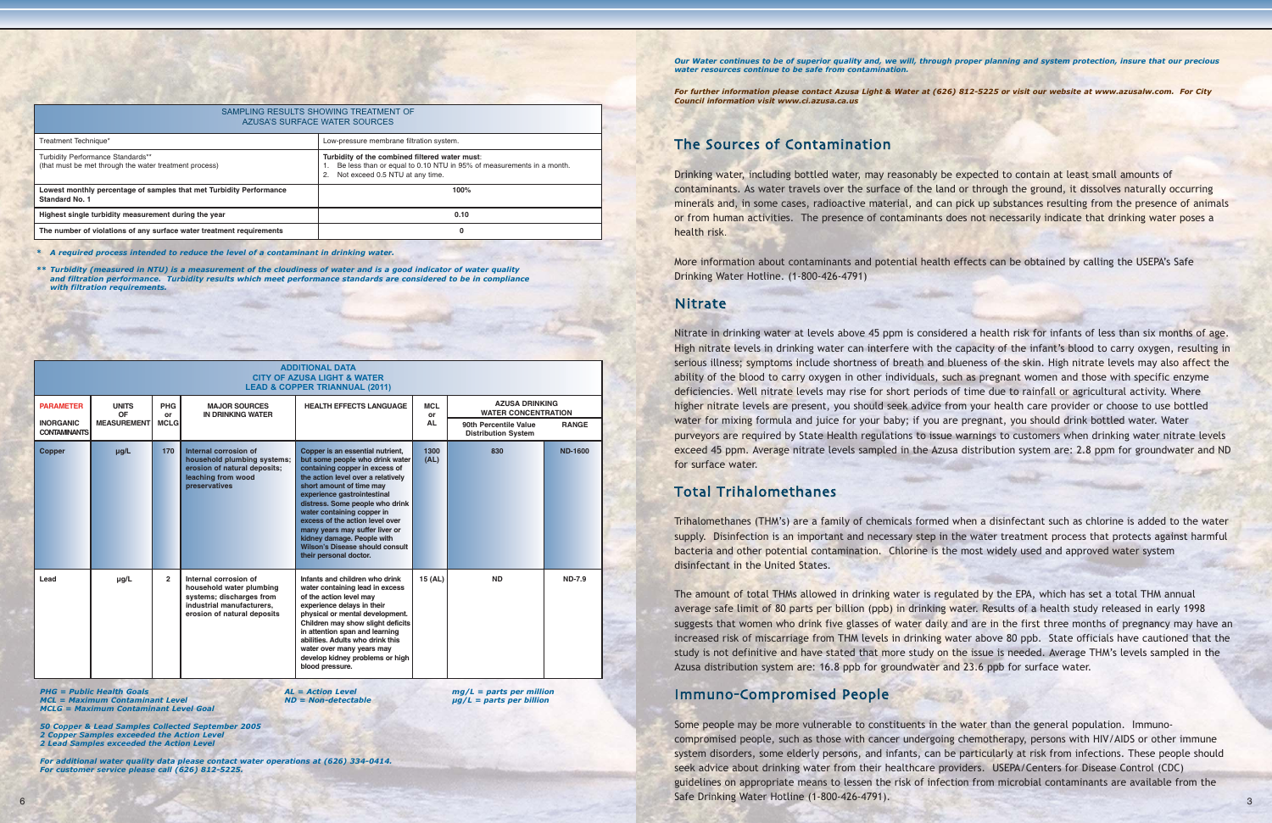*Our Water continues to be of superior quality and, we will, through proper planning and system protection, insure that our precious water resources continue to be safe from contamination.*

*For further information please contact Azusa Light & Water at (626) 812-5225 or visit our website at www.azusalw.com. For City Council information visit www.ci.azusa.ca.us*

# The Sources of Contamination

Drinking water, including bottled water, may reasonably be expected to contain at least small amounts of contaminants. As water travels over the surface of the land or through the ground, it dissolves naturally occurring minerals and, in some cases, radioactive material, and can pick up substances resulting from the presence of animals or from human activities. The presence of contaminants does not necessarily indicate that drinking water poses a health risk.

More information about contaminants and potential health effects can be obtained by calling the USEPA's Safe Drinking Water Hotline. (1-800-426-4791)

#### **Nitrate**

Nitrate in drinking water at levels above 45 ppm is considered a health risk for infants of less than six months of age. High nitrate levels in drinking water can interfere with the capacity of the infant's blood to carry oxygen, resulting in serious illness; symptoms include shortness of breath and blueness of the skin. High nitrate levels may also affect the ability of the blood to carry oxygen in other individuals, such as pregnant women and those with specific enzyme deficiencies. Well nitrate levels may rise for short periods of time due to rainfall or agricultural activity. Where higher nitrate levels are present, you should seek advice from your health care provider or choose to use bottled water for mixing formula and juice for your baby; if you are pregnant, you should drink bottled water. Water purveyors are required by State Health regulations to issue warnings to customers when drinking water nitrate levels exceed 45 ppm. Average nitrate levels sampled in the Azusa distribution system are: 2.8 ppm for groundwater and ND for surface water.

# **Total Trihalomethanes**

Some people may be more vulnerable to constituents in the water than the general population. Immunocompromised people, such as those with cancer undergoing chemotherapy, persons with HIV/AIDS or other immune system disorders, some elderly persons, and infants, can be particularly at risk from infections. These people should seek advice about drinking water from their healthcare providers. USEPA/Centers for Disease Control (CDC) guidelines on appropriate means to lessen the risk of infection from microbial contaminants are available from the Safe Drinking Water Hotline (1-800-426-4791).

Trihalomethanes (THM's) are a family of chemicals formed when a disinfectant such as chlorine is added to the water supply. Disinfection is an important and necessary step in the water treatment process that protects against harmful bacteria and other potential contamination. Chlorine is the most widely used and approved water system disinfectant in the United States.

The amount of total THMs allowed in drinking water is regulated by the EPA, which has set a total THM annual average safe limit of 80 parts per billion (ppb) in drinking water. Results of a health study released in early 1998 suggests that women who drink five glasses of water daily and are in the first three months of pregnancy may have an increased risk of miscarriage from THM levels in drinking water above 80 ppb. State officials have cautioned that the study is not definitive and have stated that more study on the issue is needed. Average THM's levels sampled in the Azusa distribution system are: 16.8 ppb for groundwater and 23.6 ppb for surface water.

# Immuno-Compromised People

*PHG = Public Health Goals AL = Action Level mg/L = parts per million MCL = Maximum Contaminant Level* 

| SAMPLING RESULTS SHOWING TREATMENT OF<br>AZUSA'S SURFACE WATER SOURCES                       |                                                                                                                                                           |  |  |  |  |
|----------------------------------------------------------------------------------------------|-----------------------------------------------------------------------------------------------------------------------------------------------------------|--|--|--|--|
| Treatment Technique*                                                                         | Low-pressure membrane filtration system.                                                                                                                  |  |  |  |  |
| Turbidity Performance Standards**<br>(that must be met through the water treatment process)  | Turbidity of the combined filtered water must:<br>Be less than or equal to 0.10 NTU in 95% of measurements in a month.<br>Not exceed 0.5 NTU at any time. |  |  |  |  |
| Lowest monthly percentage of samples that met Turbidity Performance<br><b>Standard No. 1</b> | 100%                                                                                                                                                      |  |  |  |  |
| Highest single turbidity measurement during the year                                         | 0.10                                                                                                                                                      |  |  |  |  |
| The number of violations of any surface water treatment requirements                         | o                                                                                                                                                         |  |  |  |  |

|                                         |                           |                  |                                                                                                                                           | <b>ADDITIONAL DATA</b><br><b>CITY OF AZUSA LIGHT &amp; WATER</b><br><b>LEAD &amp; COPPER TRIANNUAL (2011)</b>                                                                                                                                                                                                                                                                                                                           |                  |                                                     |                |  |
|-----------------------------------------|---------------------------|------------------|-------------------------------------------------------------------------------------------------------------------------------------------|-----------------------------------------------------------------------------------------------------------------------------------------------------------------------------------------------------------------------------------------------------------------------------------------------------------------------------------------------------------------------------------------------------------------------------------------|------------------|-----------------------------------------------------|----------------|--|
| <b>PARAMETER</b>                        | <b>UNITS</b><br><b>OF</b> | <b>PHG</b><br>or | <b>MAJOR SOURCES</b><br><b>IN DRINKING WATER</b>                                                                                          | <b>HEALTH EFFECTS LANGUAGE</b>                                                                                                                                                                                                                                                                                                                                                                                                          | <b>MCL</b><br>or | <b>AZUSA DRINKING</b><br><b>WATER CONCENTRATION</b> |                |  |
| <b>INORGANIC</b><br><b>CONTAMINANTS</b> | <b>MEASUREMENT</b>        | <b>MCLG</b>      |                                                                                                                                           |                                                                                                                                                                                                                                                                                                                                                                                                                                         | <b>AL</b>        | 90th Percentile Value<br><b>Distribution System</b> | <b>RANGE</b>   |  |
| <b>Copper</b>                           | $\mu$ g/L                 | 170              | Internal corrosion of<br>household plumbing systems;<br>erosion of natural deposits;<br>leaching from wood<br>preservatives               | Copper is an essential nutrient,<br>but some people who drink water<br>containing copper in excess of<br>the action level over a relatively<br>short amount of time may<br>experience gastrointestinal<br>distress. Some people who drink<br>water containing copper in<br>excess of the action level over<br>many years may suffer liver or<br>kidney damage. People with<br>Wilson's Disease should consult<br>their personal doctor. | 1300<br>(AL)     | 830                                                 | <b>ND-1600</b> |  |
| Lead                                    | $\mu$ g/L                 | $\overline{2}$   | Internal corrosion of<br>household water plumbing<br>systems; discharges from<br>industrial manufacturers.<br>erosion of natural deposits | Infants and children who drink<br>water containing lead in excess<br>of the action level may<br>experience delays in their<br>physical or mental development.<br>Children may show slight deficits<br>in attention span and learning<br>abilities. Adults who drink this<br>water over many years may<br>develop kidney problems or high<br>blood pressure.                                                                             | 15 (AL)          | <b>ND</b>                                           | <b>ND-7.9</b>  |  |

*MCLG = Maximum Contaminant Level Goal*

*50 Copper & Lead Samples Collected September 2005*

*2 Copper Samples exceeded the Action Level 2 Lead Samples exceeded the Action Level*

*For additional water quality data please contact water operations at (626) 334-0414. For customer service please call (626) 812-5225.*

*\* A required process intended to reduce the level of a contaminant in drinking water.*

*\*\* Turbidity (measured in NTU) is a measurement of the cloudiness of water and is a good indicator of water quality and filtration performance. Turbidity results which meet performance standards are considered to be in compliance with filtration requirements.*